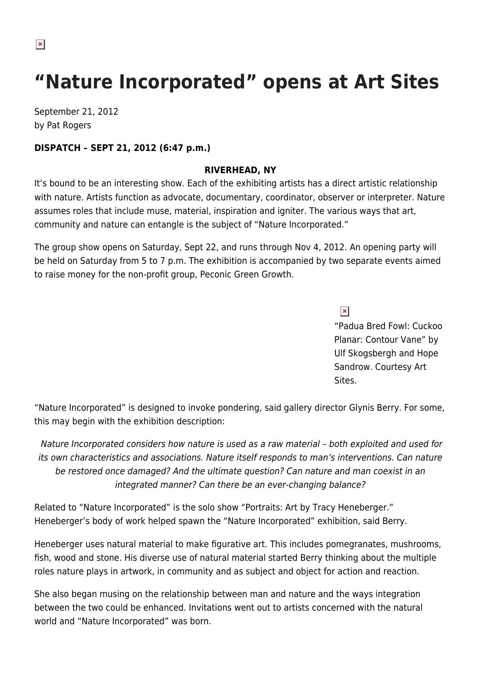# **"Nature Incorporated" opens at Art Sites**

September 21, 2012 by Pat Rogers

### **DISPATCH – SEPT 21, 2012 (6:47 p.m.)**

#### **RIVERHEAD, NY**

It's bound to be an interesting show. Each of the exhibiting artists has a direct artistic relationship with nature. Artists function as advocate, documentary, coordinator, observer or interpreter. Nature assumes roles that include muse, material, inspiration and igniter. The various ways that art, community and nature can entangle is the subject of "Nature Incorporated."

The group show opens on Saturday, Sept 22, and runs through Nov 4, 2012. An opening party will be held on Saturday from 5 to 7 p.m. The exhibition is accompanied by two separate events aimed to raise money for the non-profit group, Peconic Green Growth.

 $\pmb{\times}$ 

"Padua Bred Fowl: Cuckoo Planar: Contour Vane" by Ulf Skogsbergh and Hope Sandrow. Courtesy Art Sites.

"Nature Incorporated" is designed to invoke pondering, said gallery director Glynis Berry. For some, this may begin with the exhibition description:

Nature Incorporated considers how nature is used as a raw material – both exploited and used for its own characteristics and associations. Nature itself responds to man's interventions. Can nature be restored once damaged? And the ultimate question? Can nature and man coexist in an integrated manner? Can there be an ever-changing balance?

Related to "Nature Incorporated" is the solo show "Portraits: Art by Tracy Heneberger." Heneberger's body of work helped spawn the "Nature Incorporated" exhibition, said Berry.

Heneberger uses natural material to make figurative art. This includes pomegranates, mushrooms, fish, wood and stone. His diverse use of natural material started Berry thinking about the multiple roles nature plays in artwork, in community and as subject and object for action and reaction.

She also began musing on the relationship between man and nature and the ways integration between the two could be enhanced. Invitations went out to artists concerned with the natural world and "Nature Incorporated" was born.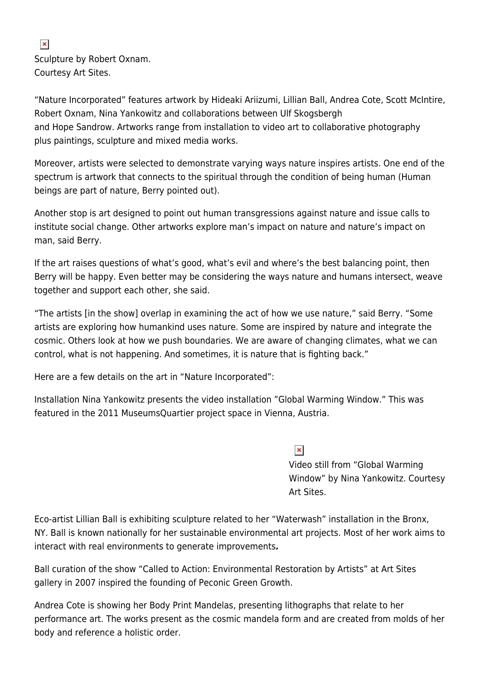## Sculpture by Robert Oxnam. Courtesy Art Sites.

"Nature Incorporated" features artwork by Hideaki Ariizumi, Lillian Ball, Andrea Cote, Scott McIntire, Robert Oxnam, Nina Yankowitz and collaborations between Ulf Skogsbergh and Hope Sandrow. Artworks range from installation to video art to collaborative photography plus paintings, sculpture and mixed media works.

Moreover, artists were selected to demonstrate varying ways nature inspires artists. One end of the spectrum is artwork that connects to the spiritual through the condition of being human (Human beings are part of nature, Berry pointed out).

Another stop is art designed to point out human transgressions against nature and issue calls to institute social change. Other artworks explore man's impact on nature and nature's impact on man, said Berry.

If the art raises questions of what's good, what's evil and where's the best balancing point, then Berry will be happy. Even better may be considering the ways nature and humans intersect, weave together and support each other, she said.

"The artists [in the show] overlap in examining the act of how we use nature," said Berry. "Some artists are exploring how humankind uses nature. Some are inspired by nature and integrate the cosmic. Others look at how we push boundaries. We are aware of changing climates, what we can control, what is not happening. And sometimes, it is nature that is fighting back."

Here are a few details on the art in "Nature Incorporated":

Installation Nina Yankowitz presents the video installation "Global Warming Window." This was featured in the 2011 MuseumsQuartier project space in Vienna, Austria.

> $\pmb{\times}$ Video still from "Global Warming Window" by Nina Yankowitz. Courtesy Art Sites.

Eco-artist Lillian Ball is exhibiting sculpture related to her "Waterwash" installation in the Bronx, NY. Ball is known nationally for her sustainable environmental art projects. Most of her work aims to interact with real environments to generate improvements*.* 

Ball curation of the show "Called to Action: Environmental Restoration by Artists" at Art Sites gallery in 2007 inspired the founding of Peconic Green Growth.

Andrea Cote is showing her Body Print Mandelas, presenting lithographs that relate to her performance art. The works present as the cosmic mandela form and are created from molds of her body and reference a holistic order.

#### $\pmb{\times}$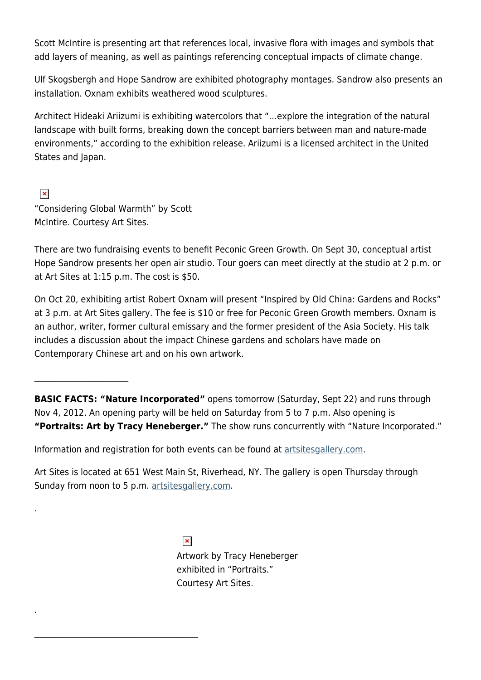Scott McIntire is presenting art that references local, invasive flora with images and symbols that add layers of meaning, as well as paintings referencing conceptual impacts of climate change.

Ulf Skogsbergh and Hope Sandrow are exhibited photography montages. Sandrow also presents an installation. Oxnam exhibits weathered wood sculptures.

Architect Hideaki Ariizumi is exhibiting watercolors that "…explore the integration of the natural landscape with built forms, breaking down the concept barriers between man and nature-made environments," according to the exhibition release. Ariizumi is a licensed architect in the United States and Japan.

 $\pmb{\times}$ "Considering Global Warmth" by Scott McIntire. Courtesy Art Sites.

 $\overline{\phantom{a}}$  , where  $\overline{\phantom{a}}$ 

.

.

 $\mathcal{L}_\text{max}$  and  $\mathcal{L}_\text{max}$  and  $\mathcal{L}_\text{max}$  and  $\mathcal{L}_\text{max}$ 

There are two fundraising events to benefit Peconic Green Growth. On Sept 30, conceptual artist Hope Sandrow presents her open air studio. Tour goers can meet directly at the studio at 2 p.m. or at Art Sites at 1:15 p.m. The cost is \$50.

On Oct 20, exhibiting artist Robert Oxnam will present "Inspired by Old China: Gardens and Rocks" at 3 p.m. at Art Sites gallery. The fee is \$10 or free for Peconic Green Growth members. Oxnam is an author, writer, former cultural emissary and the former president of the Asia Society. His talk includes a discussion about the impact Chinese gardens and scholars have made on Contemporary Chinese art and on his own artwork.

**BASIC FACTS: "Nature Incorporated"** opens tomorrow (Saturday, Sept 22) and runs through Nov 4, 2012. An opening party will be held on Saturday from 5 to 7 p.m. Also opening is **"Portraits: Art by Tracy Heneberger."** The show runs concurrently with "Nature Incorporated."

Information and registration for both events can be found at [artsitesgallery.com](http://artsitesgallery.com/).

Art Sites is located at 651 West Main St, Riverhead, NY. The gallery is open Thursday through Sunday from noon to 5 p.m. [artsitesgallery.com](http://artsitesgallery.com/).

> $\pmb{\times}$ Artwork by Tracy Heneberger exhibited in "Portraits." Courtesy Art Sites.